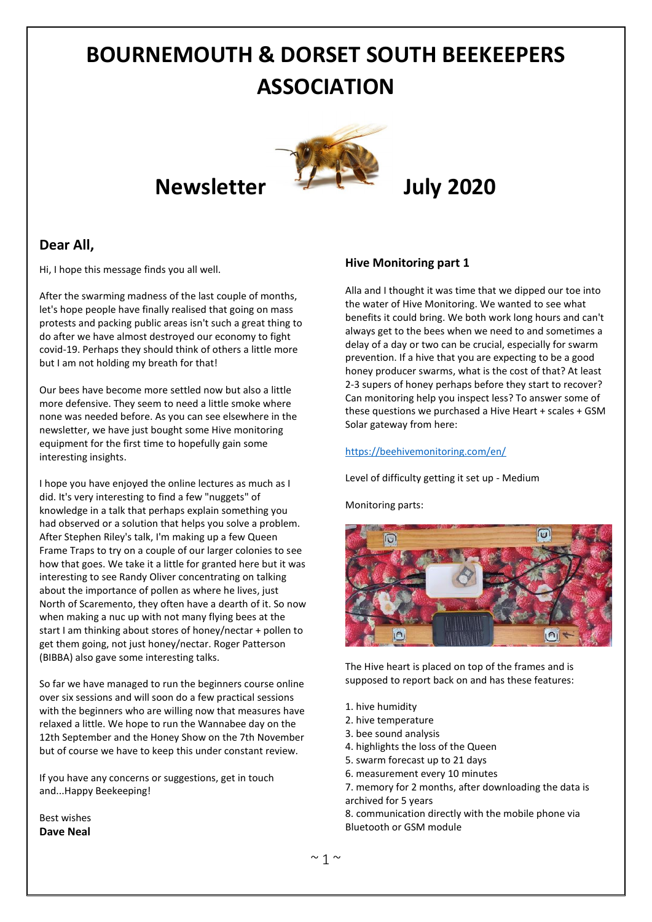# **BOURNEMOUTH & DORSET SOUTH BEEKEEPERS ASSOCIATION**

# **Newsletter July 2020**



# **Dear All,**

Hi, I hope this message finds you all well.

After the swarming madness of the last couple of months, let's hope people have finally realised that going on mass protests and packing public areas isn't such a great thing to do after we have almost destroyed our economy to fight covid-19. Perhaps they should think of others a little more but I am not holding my breath for that!

Our bees have become more settled now but also a little more defensive. They seem to need a little smoke where none was needed before. As you can see elsewhere in the newsletter, we have just bought some Hive monitoring equipment for the first time to hopefully gain some interesting insights.

I hope you have enjoyed the online lectures as much as I did. It's very interesting to find a few "nuggets" of knowledge in a talk that perhaps explain something you had observed or a solution that helps you solve a problem. After Stephen Riley's talk, I'm making up a few Queen Frame Traps to try on a couple of our larger colonies to see how that goes. We take it a little for granted here but it was interesting to see Randy Oliver concentrating on talking about the importance of pollen as where he lives, just North of Scaremento, they often have a dearth of it. So now when making a nuc up with not many flying bees at the start I am thinking about stores of honey/nectar + pollen to get them going, not just honey/nectar. Roger Patterson (BIBBA) also gave some interesting talks.

So far we have managed to run the beginners course online over six sessions and will soon do a few practical sessions with the beginners who are willing now that measures have relaxed a little. We hope to run the Wannabee day on the 12th September and the Honey Show on the 7th November but of course we have to keep this under constant review.

If you have any concerns or suggestions, get in touch and...Happy Beekeeping!

Best wishes **Dave Neal**

### **Hive Monitoring part 1**

Alla and I thought it was time that we dipped our toe into the water of Hive Monitoring. We wanted to see what benefits it could bring. We both work long hours and can't always get to the bees when we need to and sometimes a delay of a day or two can be crucial, especially for swarm prevention. If a hive that you are expecting to be a good honey producer swarms, what is the cost of that? At least 2-3 supers of honey perhaps before they start to recover? Can monitoring help you inspect less? To answer some of these questions we purchased a Hive Heart + scales + GSM Solar gateway from here:

#### <https://beehivemonitoring.com/en/>

Level of difficulty getting it set up - Medium

Monitoring parts:



The Hive heart is placed on top of the frames and is supposed to report back on and has these features:

- 1. hive humidity
- 2. hive temperature
- 3. bee sound analysis
- 4. highlights the loss of the Queen
- 5. swarm forecast up to 21 days
- 6. measurement every 10 minutes
- 7. memory for 2 months, after downloading the data is archived for 5 years

8. communication directly with the mobile phone via Bluetooth or GSM module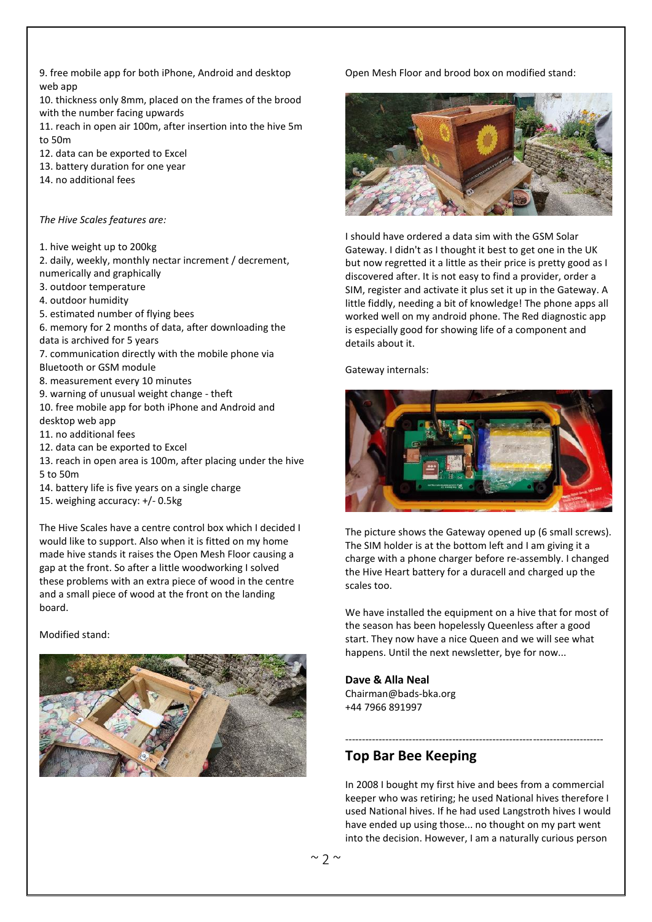9. free mobile app for both iPhone, Android and desktop web app

10. thickness only 8mm, placed on the frames of the brood with the number facing upwards

11. reach in open air 100m, after insertion into the hive 5m to 50m

12. data can be exported to Excel

- 13. battery duration for one year
- 14. no additional fees

*The Hive Scales features are:*

1. hive weight up to 200kg

2. daily, weekly, monthly nectar increment / decrement, numerically and graphically

- 3. outdoor temperature
- 4. outdoor humidity
- 5. estimated number of flying bees

6. memory for 2 months of data, after downloading the data is archived for 5 years

- 7. communication directly with the mobile phone via Bluetooth or GSM module
- 8. measurement every 10 minutes
- 9. warning of unusual weight change theft
- 10. free mobile app for both iPhone and Android and desktop web app
- 11. no additional fees
- 12. data can be exported to Excel
- 13. reach in open area is 100m, after placing under the hive 5 to 50m
- 14. battery life is five years on a single charge
- 15. weighing accuracy: +/- 0.5kg

The Hive Scales have a centre control box which I decided I would like to support. Also when it is fitted on my home made hive stands it raises the Open Mesh Floor causing a gap at the front. So after a little woodworking I solved these problems with an extra piece of wood in the centre and a small piece of wood at the front on the landing board.

Modified stand:



### Open Mesh Floor and brood box on modified stand:



I should have ordered a data sim with the GSM Solar Gateway. I didn't as I thought it best to get one in the UK but now regretted it a little as their price is pretty good as I discovered after. It is not easy to find a provider, order a SIM, register and activate it plus set it up in the Gateway. A little fiddly, needing a bit of knowledge! The phone apps all worked well on my android phone. The Red diagnostic app is especially good for showing life of a component and details about it.

Gateway internals:



The picture shows the Gateway opened up (6 small screws). The SIM holder is at the bottom left and I am giving it a charge with a phone charger before re-assembly. I changed the Hive Heart battery for a duracell and charged up the scales too.

We have installed the equipment on a hive that for most of the season has been hopelessly Queenless after a good start. They now have a nice Queen and we will see what happens. Until the next newsletter, bye for now...

#### **Dave & Alla Neal**

Chairman@bads-bka.org +44 7966 891997

# **Top Bar Bee Keeping**

In 2008 I bought my first hive and bees from a commercial keeper who was retiring; he used National hives therefore I used National hives. If he had used Langstroth hives I would have ended up using those... no thought on my part went into the decision. However, I am a naturally curious person

-----------------------------------------------------------------------------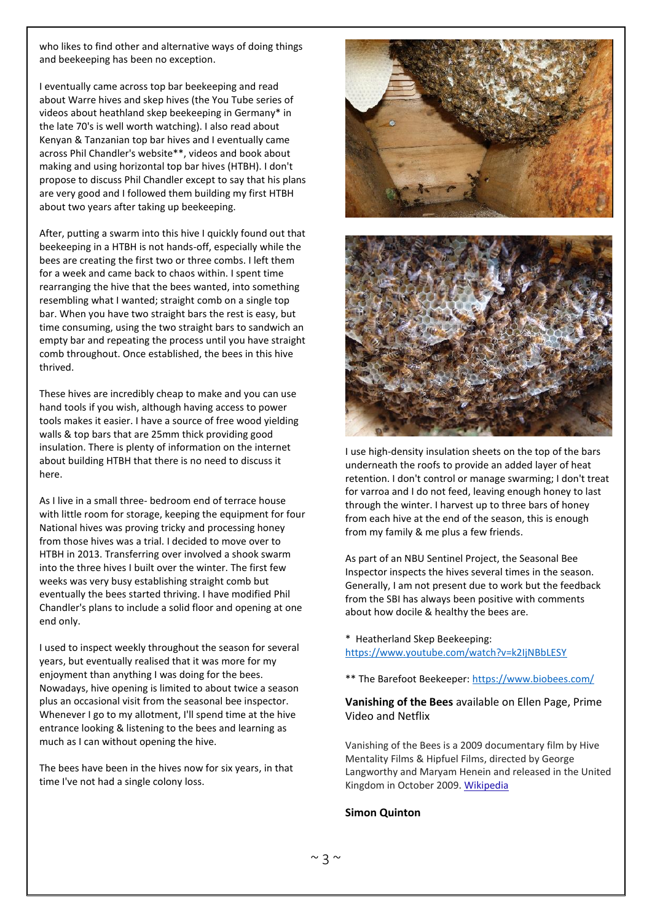who likes to find other and alternative ways of doing things and beekeeping has been no exception.

I eventually came across top bar beekeeping and read about Warre hives and skep hives (the You Tube series of videos about heathland skep beekeeping in Germany\* in the late 70's is well worth watching). I also read about Kenyan & Tanzanian top bar hives and I eventually came across Phil Chandler's website\*\*, videos and book about making and using horizontal top bar hives (HTBH). I don't propose to discuss Phil Chandler except to say that his plans are very good and I followed them building my first HTBH about two years after taking up beekeeping.

After, putting a swarm into this hive I quickly found out that beekeeping in a HTBH is not hands-off, especially while the bees are creating the first two or three combs. I left them for a week and came back to chaos within. I spent time rearranging the hive that the bees wanted, into something resembling what I wanted; straight comb on a single top bar. When you have two straight bars the rest is easy, but time consuming, using the two straight bars to sandwich an empty bar and repeating the process until you have straight comb throughout. Once established, the bees in this hive thrived.

These hives are incredibly cheap to make and you can use hand tools if you wish, although having access to power tools makes it easier. I have a source of free wood yielding walls & top bars that are 25mm thick providing good insulation. There is plenty of information on the internet about building HTBH that there is no need to discuss it here.

As I live in a small three- bedroom end of terrace house with little room for storage, keeping the equipment for four National hives was proving tricky and processing honey from those hives was a trial. I decided to move over to HTBH in 2013. Transferring over involved a shook swarm into the three hives I built over the winter. The first few weeks was very busy establishing straight comb but eventually the bees started thriving. I have modified Phil Chandler's plans to include a solid floor and opening at one end only.

I used to inspect weekly throughout the season for several years, but eventually realised that it was more for my enjoyment than anything I was doing for the bees. Nowadays, hive opening is limited to about twice a season plus an occasional visit from the seasonal bee inspector. Whenever I go to my allotment, I'll spend time at the hive entrance looking & listening to the bees and learning as much as I can without opening the hive.

The bees have been in the hives now for six years, in that time I've not had a single colony loss.





I use high-density insulation sheets on the top of the bars underneath the roofs to provide an added layer of heat retention. I don't control or manage swarming; I don't treat for varroa and I do not feed, leaving enough honey to last through the winter. I harvest up to three bars of honey from each hive at the end of the season, this is enough from my family & me plus a few friends.

As part of an NBU Sentinel Project, the Seasonal Bee Inspector inspects the hives several times in the season. Generally, I am not present due to work but the feedback from the SBI has always been positive with comments about how docile & healthy the bees are.

- \* Heatherland Skep Beekeeping: <https://www.youtube.com/watch?v=k2IjNBbLESY>
- \*\* The Barefoot Beekeeper:<https://www.biobees.com/>

#### **Vanishing of the Bees** available on Ellen Page, Prime Video and Netflix

Vanishing of the Bees is a 2009 documentary film by Hive Mentality Films & Hipfuel Films, directed by George Langworthy and Maryam Henein and released in the United Kingdom in October 2009. [Wikipedia](https://en.wikipedia.org/wiki/Vanishing_of_the_Bees)

#### **Simon Quinton**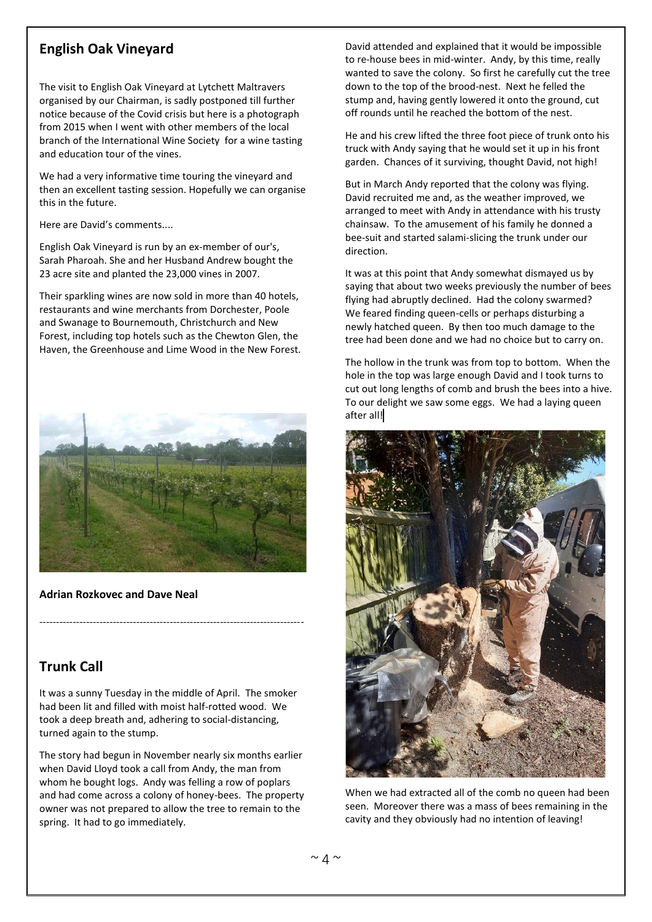# **English Oak Vineyard**

The visit to English Oak Vineyard at Lytchett Maltravers organised by our Chairman, is sadly postponed till further notice because of the Covid crisis but here is a photograph from 2015 when I went with other members of the local branch of the International Wine Society for a wine tasting and education tour of the vines.

We had a very informative time touring the vineyard and then an excellent tasting session. Hopefully we can organise this in the future.

Here are David's comments....

English Oak Vineyard is run by an ex-member of our's, Sarah Pharoah. She and her Husband Andrew bought the 23 acre site and planted the 23,000 vines in 2007.

Their sparkling wines are now sold in more than 40 hotels, restaurants and wine merchants from Dorchester, Poole and Swanage to Bournemouth, Christchurch and New Forest, including top hotels such as the Chewton Glen, the Haven, the Greenhouse and Lime Wood in the New Forest.

![](_page_3_Picture_6.jpeg)

**Adrian Rozkovec and Dave Neal**

# **Trunk Call**

It was a sunny Tuesday in the middle of April. The smoker had been lit and filled with moist half-rotted wood. We took a deep breath and, adhering to social-distancing, turned again to the stump.

-------------------------------------------------------------------------------

The story had begun in November nearly six months earlier when David Lloyd took a call from Andy, the man from whom he bought logs. Andy was felling a row of poplars and had come across a colony of honey-bees. The property owner was not prepared to allow the tree to remain to the spring. It had to go immediately.

David attended and explained that it would be impossible to re-house bees in mid-winter. Andy, by this time, really wanted to save the colony. So first he carefully cut the tree down to the top of the brood-nest. Next he felled the stump and, having gently lowered it onto the ground, cut off rounds until he reached the bottom of the nest.

He and his crew lifted the three foot piece of trunk onto his truck with Andy saying that he would set it up in his front garden. Chances of it surviving, thought David, not high!

But in March Andy reported that the colony was flying. David recruited me and, as the weather improved, we arranged to meet with Andy in attendance with his trusty chainsaw. To the amusement of his family he donned a bee-suit and started salami-slicing the trunk under our direction.

It was at this point that Andy somewhat dismayed us by saying that about two weeks previously the number of bees flying had abruptly declined. Had the colony swarmed? We feared finding queen-cells or perhaps disturbing a newly hatched queen. By then too much damage to the tree had been done and we had no choice but to carry on.

The hollow in the trunk was from top to bottom. When the hole in the top was large enough David and I took turns to cut out long lengths of comb and brush the bees into a hive. To our delight we saw some eggs. We had a laying queen after all!

![](_page_3_Picture_16.jpeg)

When we had extracted all of the comb no queen had been seen. Moreover there was a mass of bees remaining in the cavity and they obviously had no intention of leaving!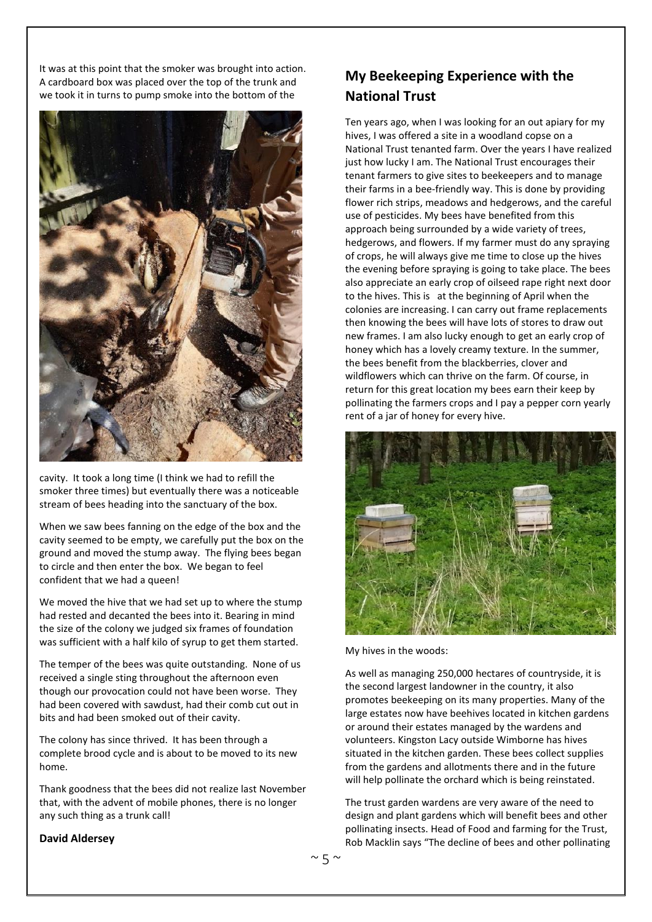It was at this point that the smoker was brought into action. A cardboard box was placed over the top of the trunk and we took it in turns to pump smoke into the bottom of the

![](_page_4_Picture_1.jpeg)

cavity. It took a long time (I think we had to refill the smoker three times) but eventually there was a noticeable stream of bees heading into the sanctuary of the box.

When we saw bees fanning on the edge of the box and the cavity seemed to be empty, we carefully put the box on the ground and moved the stump away. The flying bees began to circle and then enter the box. We began to feel confident that we had a queen!

We moved the hive that we had set up to where the stump had rested and decanted the bees into it. Bearing in mind the size of the colony we judged six frames of foundation was sufficient with a half kilo of syrup to get them started.

The temper of the bees was quite outstanding. None of us received a single sting throughout the afternoon even though our provocation could not have been worse. They had been covered with sawdust, had their comb cut out in bits and had been smoked out of their cavity.

The colony has since thrived. It has been through a complete brood cycle and is about to be moved to its new home.

Thank goodness that the bees did not realize last November that, with the advent of mobile phones, there is no longer any such thing as a trunk call!

# **My Beekeeping Experience with the National Trust**

Ten years ago, when I was looking for an out apiary for my hives, I was offered a site in a woodland copse on a National Trust tenanted farm. Over the years I have realized just how lucky I am. The National Trust encourages their tenant farmers to give sites to beekeepers and to manage their farms in a bee-friendly way. This is done by providing flower rich strips, meadows and hedgerows, and the careful use of pesticides. My bees have benefited from this approach being surrounded by a wide variety of trees, hedgerows, and flowers. If my farmer must do any spraying of crops, he will always give me time to close up the hives the evening before spraying is going to take place. The bees also appreciate an early crop of oilseed rape right next door to the hives. This is at the beginning of April when the colonies are increasing. I can carry out frame replacements then knowing the bees will have lots of stores to draw out new frames. I am also lucky enough to get an early crop of honey which has a lovely creamy texture. In the summer, the bees benefit from the blackberries, clover and wildflowers which can thrive on the farm. Of course, in return for this great location my bees earn their keep by pollinating the farmers crops and I pay a pepper corn yearly rent of a jar of honey for every hive.

![](_page_4_Picture_10.jpeg)

My hives in the woods:

As well as managing 250,000 hectares of countryside, it is the second largest landowner in the country, it also promotes beekeeping on its many properties. Many of the large estates now have beehives located in kitchen gardens or around their estates managed by the wardens and volunteers. Kingston Lacy outside Wimborne has hives situated in the kitchen garden. These bees collect supplies from the gardens and allotments there and in the future will help pollinate the orchard which is being reinstated.

The trust garden wardens are very aware of the need to design and plant gardens which will benefit bees and other pollinating insects. Head of Food and farming for the Trust, Rob Macklin says "The decline of bees and other pollinating

#### **David Aldersey**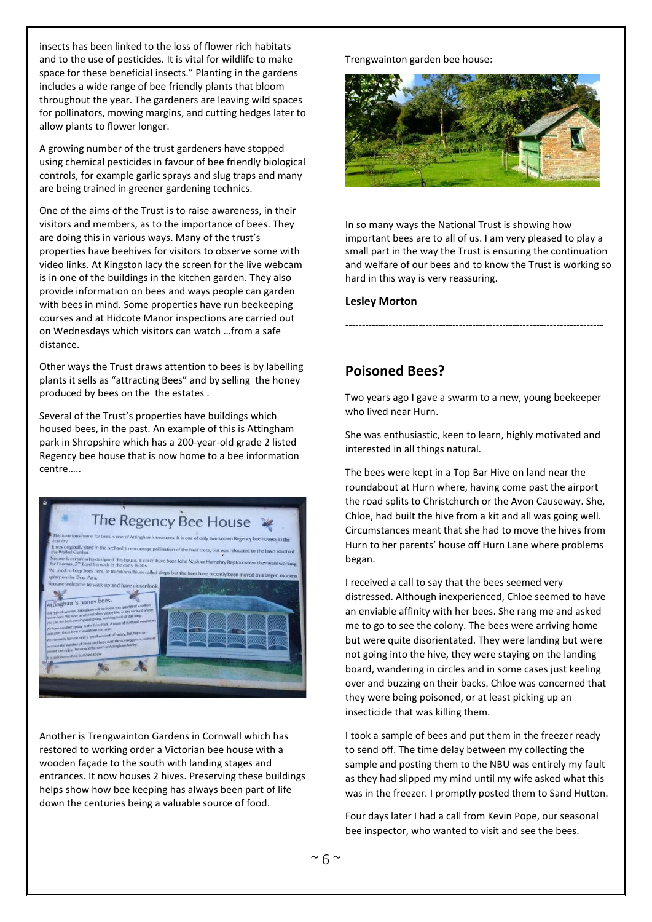insects has been linked to the loss of flower rich habitats and to the use of pesticides. It is vital for wildlife to make space for these beneficial insects." Planting in the gardens includes a wide range of bee friendly plants that bloom throughout the year. The gardeners are leaving wild spaces for pollinators, mowing margins, and cutting hedges later to allow plants to flower longer.

A growing number of the trust gardeners have stopped using chemical pesticides in favour of bee friendly biological controls, for example garlic sprays and slug traps and many are being trained in greener gardening technics.

One of the aims of the Trust is to raise awareness, in their visitors and members, as to the importance of bees. They are doing this in various ways. Many of the trust's properties have beehives for visitors to observe some with video links. At Kingston lacy the screen for the live webcam is in one of the buildings in the kitchen garden. They also provide information on bees and ways people can garden with bees in mind. Some properties have run beekeeping courses and at Hidcote Manor inspections are carried out on Wednesdays which visitors can watch …from a safe distance.

Other ways the Trust draws attention to bees is by labelling plants it sells as "attracting Bees" and by selling the honey produced by bees on the the estates .

Several of the Trust's properties have buildings which housed bees, in the past. An example of this is Attingham park in Shropshire which has a 200-year-old grade 2 listed Regency bee house that is now home to a bee information centre…..

![](_page_5_Picture_5.jpeg)

Another is Trengwainton Gardens in Cornwall which has restored to working order a Victorian bee house with a wooden façade to the south with landing stages and entrances. It now houses 2 hives. Preserving these buildings helps show how bee keeping has always been part of life down the centuries being a valuable source of food.

Trengwainton garden bee house:

![](_page_5_Picture_8.jpeg)

In so many ways the National Trust is showing how important bees are to all of us. I am very pleased to play a small part in the way the Trust is ensuring the continuation and welfare of our bees and to know the Trust is working so hard in this way is very reassuring.

#### **Lesley Morton**

## **Poisoned Bees?**

Two years ago I gave a swarm to a new, young beekeeper who lived near Hurn.

-----------------------------------------------------------------------------

She was enthusiastic, keen to learn, highly motivated and interested in all things natural.

The bees were kept in a Top Bar Hive on land near the roundabout at Hurn where, having come past the airport the road splits to Christchurch or the Avon Causeway. She, Chloe, had built the hive from a kit and all was going well. Circumstances meant that she had to move the hives from Hurn to her parents' house off Hurn Lane where problems began.

I received a call to say that the bees seemed very distressed. Although inexperienced, Chloe seemed to have an enviable affinity with her bees. She rang me and asked me to go to see the colony. The bees were arriving home but were quite disorientated. They were landing but were not going into the hive, they were staying on the landing board, wandering in circles and in some cases just keeling over and buzzing on their backs. Chloe was concerned that they were being poisoned, or at least picking up an insecticide that was killing them.

I took a sample of bees and put them in the freezer ready to send off. The time delay between my collecting the sample and posting them to the NBU was entirely my fault as they had slipped my mind until my wife asked what this was in the freezer. I promptly posted them to Sand Hutton.

Four days later I had a call from Kevin Pope, our seasonal bee inspector, who wanted to visit and see the bees.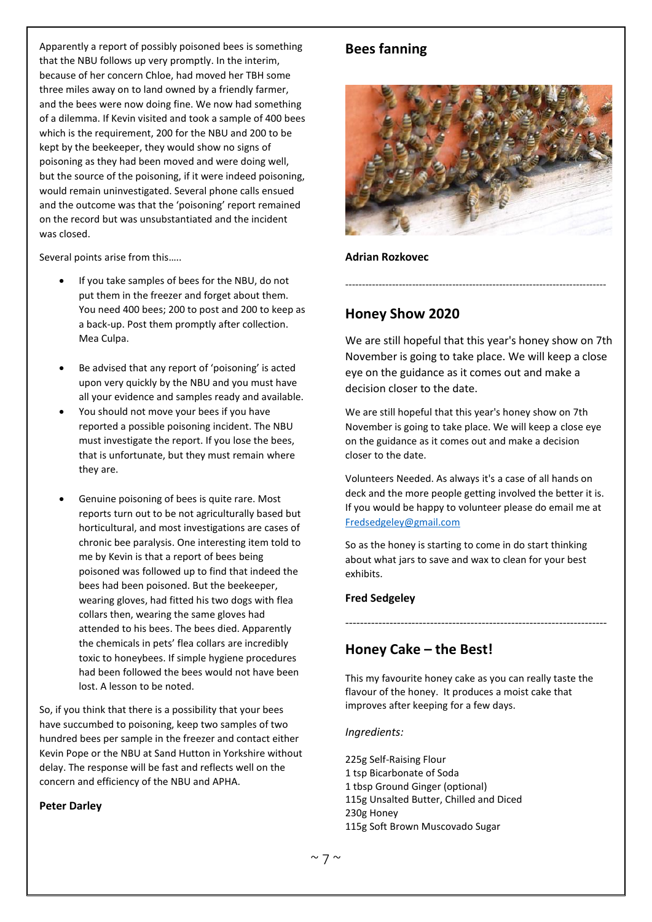Apparently a report of possibly poisoned bees is something that the NBU follows up very promptly. In the interim, because of her concern Chloe, had moved her TBH some three miles away on to land owned by a friendly farmer, and the bees were now doing fine. We now had something of a dilemma. If Kevin visited and took a sample of 400 bees which is the requirement, 200 for the NBU and 200 to be kept by the beekeeper, they would show no signs of poisoning as they had been moved and were doing well, but the source of the poisoning, if it were indeed poisoning, would remain uninvestigated. Several phone calls ensued and the outcome was that the 'poisoning' report remained on the record but was unsubstantiated and the incident was closed.

Several points arise from this…..

- If you take samples of bees for the NBU, do not put them in the freezer and forget about them. You need 400 bees; 200 to post and 200 to keep as a back-up. Post them promptly after collection. Mea Culpa.
- Be advised that any report of 'poisoning' is acted upon very quickly by the NBU and you must have all your evidence and samples ready and available.
- You should not move your bees if you have reported a possible poisoning incident. The NBU must investigate the report. If you lose the bees, that is unfortunate, but they must remain where they are.
- Genuine poisoning of bees is quite rare. Most reports turn out to be not agriculturally based but horticultural, and most investigations are cases of chronic bee paralysis. One interesting item told to me by Kevin is that a report of bees being poisoned was followed up to find that indeed the bees had been poisoned. But the beekeeper, wearing gloves, had fitted his two dogs with flea collars then, wearing the same gloves had attended to his bees. The bees died. Apparently the chemicals in pets' flea collars are incredibly toxic to honeybees. If simple hygiene procedures had been followed the bees would not have been lost. A lesson to be noted.

So, if you think that there is a possibility that your bees have succumbed to poisoning, keep two samples of two hundred bees per sample in the freezer and contact either Kevin Pope or the NBU at Sand Hutton in Yorkshire without delay. The response will be fast and reflects well on the concern and efficiency of the NBU and APHA.

#### **Peter Darley**

## **Bees fanning**

![](_page_6_Picture_9.jpeg)

**Adrian Rozkovec**

# **Honey Show 2020**

We are still hopeful that this year's honey show on 7th November is going to take place. We will keep a close eye on the guidance as it comes out and make a decision closer to the date.

------------------------------------------------------------------------------

We are still hopeful that this year's honey show on 7th November is going to take place. We will keep a close eye on the guidance as it comes out and make a decision closer to the date.

Volunteers Needed. As always it's a case of all hands on deck and the more people getting involved the better it is. If you would be happy to volunteer please do email me at [Fredsedgeley@gmail.com](mailto:Fredsedgeley@gmail.com)

So as the honey is starting to come in do start thinking about what jars to save and wax to clean for your best exhibits.

#### **Fred Sedgeley**

# **Honey Cake – the Best!**

This my favourite honey cake as you can really taste the flavour of the honey. It produces a moist cake that improves after keeping for a few days.

-----------------------------------------------------------------------

*Ingredients:*

225g Self-Raising Flour 1 tsp Bicarbonate of Soda 1 tbsp Ground Ginger (optional) 115g Unsalted Butter, Chilled and Diced 230g Honey 115g Soft Brown Muscovado Sugar